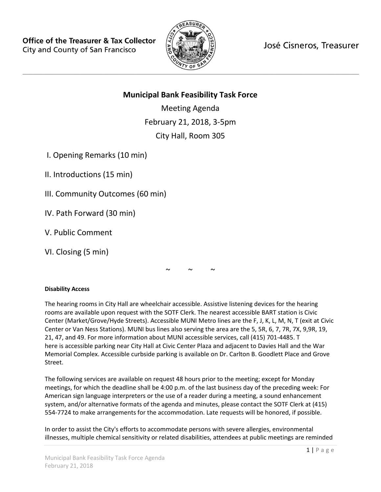

José Cisneros, Treasurer

# **Municipal Bank Feasibility Task Force**

Meeting Agenda February 21, 2018, 3-5pm City Hall, Room 305

I. Opening Remarks (10 min)

II. Introductions (15 min)

III. Community Outcomes (60 min)

- IV. Path Forward (30 min)
- V. Public Comment

VI. Closing (5 min)

 $\sim$   $\sim$   $\sim$ 

## **Disability Access**

The hearing rooms in City Hall are wheelchair accessible. Assistive listening devices for the hearing rooms are available upon request with the SOTF Clerk. The nearest accessible BART station is Civic Center (Market/Grove/Hyde Streets). Accessible MUNI Metro lines are the F, J, K, L, M, N, T (exit at Civic Center or Van Ness Stations). MUNI bus lines also serving the area are the 5, 5R, 6, 7, 7R, 7X, 9,9R, 19, 21, 47, and 49. For more information about MUNI accessible services, call (415) 701-4485. T here is accessible parking near City Hall at Civic Center Plaza and adjacent to Davies Hall and the War Memorial Complex. Accessible curbside parking is available on Dr. Carlton B. Goodlett Place and Grove Street.

The following services are available on request 48 hours prior to the meeting; except for Monday meetings, for which the deadline shall be 4:00 p.m. of the last business day of the preceding week: For American sign language interpreters or the use of a reader during a meeting, a sound enhancement system, and/or alternative formats of the agenda and minutes, please contact the SOTF Clerk at (415) 554-7724 to make arrangements for the accommodation. Late requests will be honored, if possible.

In order to assist the City's efforts to accommodate persons with severe allergies, environmental illnesses, multiple chemical sensitivity or related disabilities, attendees at public meetings are reminded